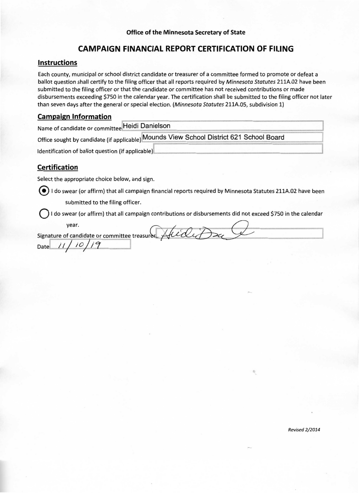# **CAMPAIGN FINANCIAL REPORT CERTIFICATION OF FILING**

#### **Instructions**

Each county, municipal or school district candidate or treasurer of a committee formed to promote or defeat a ballot question shall certify to the filing officer that all reports required by Minnesota Statutes 211A.02 have been submitted to the filing officer or that the candidate or committee has not received contributions or made disbursements exceeding \$750 in the calendar year. The certification shall be submitted to the filing officer not later than seven days after the general or special election. (Minnesota Statutes 211A.05, subdivision 1)

#### **Campaign Information**

Name of candidate or committee Heidi Danielson

Office sought by candidate (if applicable) Mounds View School District 621 School Board

Identification of ballot question (if applicable)

## **Certification**

Select the appropriate choice below, and sign.

 $\odot$  I do swear (or affirm) that all campaign financial reports required by Minnesota Statutes 211A.02 have been submitted to the filing officer.

I do swear (or affirm) that all campaign contributions or disbursements did not exceed \$750 in the calendar

year. Suidet Signature of candidate or committee treasurer Date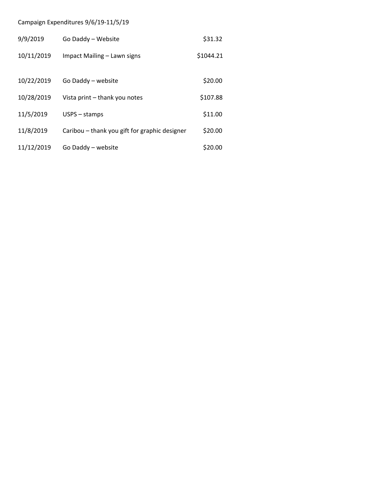# Campaign Expenditures 9/6/19‐11/5/19

| 9/9/2019   | Go Daddy - Website                            | \$31.32   |  |
|------------|-----------------------------------------------|-----------|--|
| 10/11/2019 | Impact Mailing - Lawn signs                   | \$1044.21 |  |
| 10/22/2019 | Go Daddy - website                            | \$20.00   |  |
| 10/28/2019 | Vista print – thank you notes                 | \$107.88  |  |
| 11/5/2019  | $USPS - stamps$                               | \$11.00   |  |
| 11/8/2019  | Caribou – thank you gift for graphic designer | \$20.00   |  |
| 11/12/2019 | Go Daddy - website                            | \$20.00   |  |